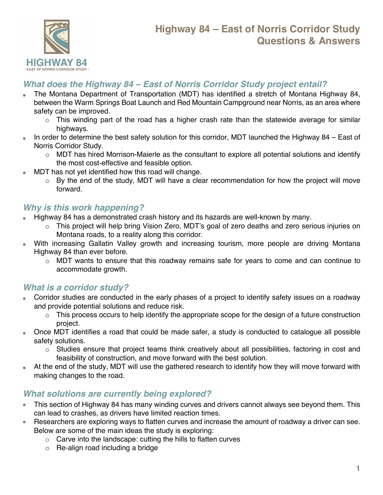

# **Highway 84 – East of Norris Corridor Study Questions & Answers**

#### *What does the Highway 84 – East of Norris Corridor Study project entail?*

- The Montana Department of Transportation (MDT) has identified a stretch of Montana Highway 84, between the Warm Springs Boat Launch and Red Mountain Campground near Norris, as an area where safety can be improved.
	- $\circ$  This winding part of the road has a higher crash rate than the statewide average for similar highways.
- In order to determine the best safety solution for this corridor, MDT launched the Highway 84 East of Norris Corridor Study.
	- o MDT has hired Morrison-Maierle as the consultant to explore all potential solutions and identify the most cost-effective and feasible option.
- MDT has not yet identified how this road will change.
	- $\circ$  By the end of the study, MDT will have a clear recommendation for how the project will move forward.

#### *Why is this work happening?*

- Highway 84 has a demonstrated crash history and its hazards are well-known by many.
	- $\circ$  This project will help bring Vision Zero, MDT's goal of zero deaths and zero serious injuries on Montana roads, to a reality along this corridor.
- With increasing Gallatin Valley growth and increasing tourism, more people are driving Montana Highway 84 than ever before.
	- $\circ$  MDT wants to ensure that this roadway remains safe for years to come and can continue to accommodate growth.

### *What is a corridor study?*

- Corridor studies are conducted in the early phases of a project to identify safety issues on a roadway and provide potential solutions and reduce risk.
	- $\circ$  This process occurs to help identify the appropriate scope for the design of a future construction project.
- Once MDT identifies a road that could be made safer, a study is conducted to catalogue all possible safety solutions.
	- $\circ$  Studies ensure that project teams think creatively about all possibilities, factoring in cost and feasibility of construction, and move forward with the best solution.
- At the end of the study, MDT will use the gathered research to identify how they will move forward with making changes to the road.

### *What solutions are currently being explored?*

- This section of Highway 84 has many winding curves and drivers cannot always see beyond them. This can lead to crashes, as drivers have limited reaction times.
- Researchers are exploring ways to flatten curves and increase the amount of roadway a driver can see. Below are some of the main ideas the study is exploring:
	- o Carve into the landscape: cutting the hills to flatten curves
	- o Re-align road including a bridge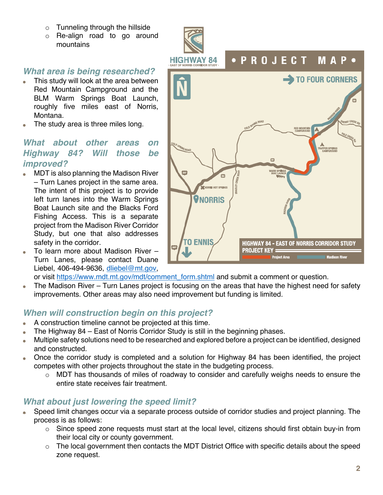- o Tunneling through the hillside
- o Re-align road to go around mountains

#### *What area is being researched?*

- This study will look at the area between Red Mountain Campground and the BLM Warm Springs Boat Launch, roughly five miles east of Norris, Montana.
- The study area is three miles long.

# *What about other areas on Highway 84? Will those be improved?*

- MDT is also planning the Madison River – Turn Lanes project in the same area. The intent of this project is to provide left turn lanes into the Warm Springs Boat Launch site and the Blacks Ford Fishing Access. This is a separate project from the Madison River Corridor Study, but one that also addresses safety in the corridor.
- To learn more about Madison River Turn Lanes, please contact Duane Liebel, 406-494-9636, dliebel@mt.gov,



or visit https://www.mdt.mt.gov/mdt/comment\_form.shtml and submit a comment or question.

• The Madison River – Turn Lanes project is focusing on the areas that have the highest need for safety improvements. Other areas may also need improvement but funding is limited.

#### *When will construction begin on this project?*

- A construction timeline cannot be projected at this time.
- The Highway 84 East of Norris Corridor Study is still in the beginning phases.
- Multiple safety solutions need to be researched and explored before a project can be identified, designed and constructed.
- Once the corridor study is completed and a solution for Highway 84 has been identified, the project competes with other projects throughout the state in the budgeting process.
	- o MDT has thousands of miles of roadway to consider and carefully weighs needs to ensure the entire state receives fair treatment.

### *What about just lowering the speed limit?*

- Speed limit changes occur via a separate process outside of corridor studies and project planning. The process is as follows:
	- $\circ$  Since speed zone requests must start at the local level, citizens should first obtain buy-in from their local city or county government.
	- o The local government then contacts the MDT District Office with specific details about the speed zone request.